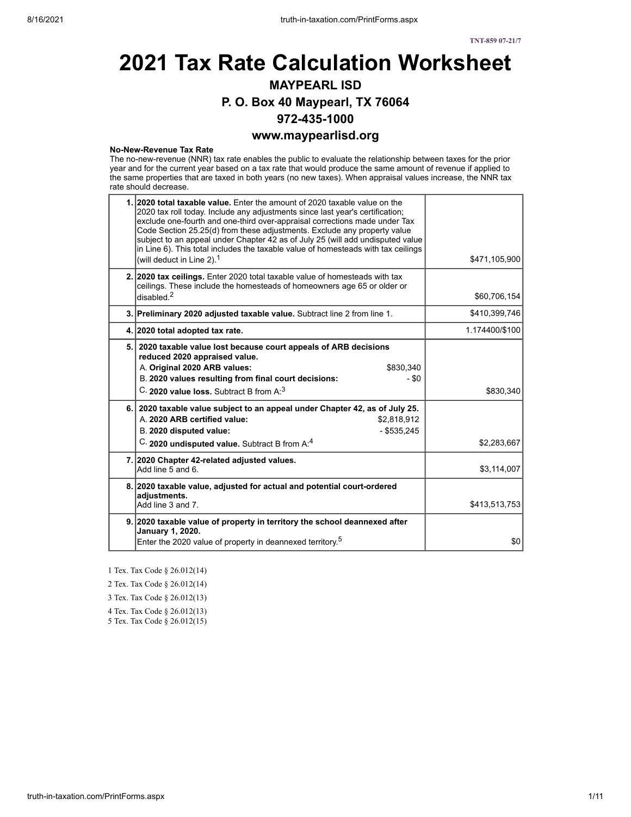# **2021 Tax Rate Calculation Worksheet MAYPEARL ISD P. O. Box 40 Maypearl, TX 76064 972-435-1000 www.maypearlisd.org**

#### **No-New-Revenue Tax Rate**

The no-new-revenue (NNR) tax rate enables the public to evaluate the relationship between taxes for the prior year and for the current year based on a tax rate that would produce the same amount of revenue if applied to the same properties that are taxed in both years (no new taxes). When appraisal values increase, the NNR tax rate should decrease.

| 1. 2020 total taxable value. Enter the amount of 2020 taxable value on the<br>2020 tax roll today. Include any adjustments since last year's certification;<br>exclude one-fourth and one-third over-appraisal corrections made under Tax<br>Code Section 25.25(d) from these adjustments. Exclude any property value<br>subject to an appeal under Chapter 42 as of July 25 (will add undisputed value<br>in Line 6). This total includes the taxable value of homesteads with tax ceilings<br>(will deduct in Line 2). $1$ | \$471,105,900  |
|------------------------------------------------------------------------------------------------------------------------------------------------------------------------------------------------------------------------------------------------------------------------------------------------------------------------------------------------------------------------------------------------------------------------------------------------------------------------------------------------------------------------------|----------------|
| 2. 2020 tax ceilings. Enter 2020 total taxable value of homesteads with tax<br>ceilings. These include the homesteads of homeowners age 65 or older or<br>disabled <sup>2</sup>                                                                                                                                                                                                                                                                                                                                              | \$60,706,154   |
| 3. Preliminary 2020 adjusted taxable value. Subtract line 2 from line 1.                                                                                                                                                                                                                                                                                                                                                                                                                                                     | \$410,399,746  |
| 4. 2020 total adopted tax rate.                                                                                                                                                                                                                                                                                                                                                                                                                                                                                              | 1.174400/\$100 |
| 5. 2020 taxable value lost because court appeals of ARB decisions<br>reduced 2020 appraised value.<br>A. Original 2020 ARB values:<br>\$830,340<br>B. 2020 values resulting from final court decisions:<br>- \$0<br>C. 2020 value loss. Subtract B from A. <sup>3</sup>                                                                                                                                                                                                                                                      | \$830,340      |
| 6. 2020 taxable value subject to an appeal under Chapter 42, as of July 25.<br>A. 2020 ARB certified value:<br>\$2.818.912<br>B. 2020 disputed value:<br>$-$ \$535,245<br>C. 2020 undisputed value. Subtract B from A. <sup>4</sup>                                                                                                                                                                                                                                                                                          | \$2,283,667    |
| 7. 2020 Chapter 42-related adjusted values.<br>Add line 5 and 6.                                                                                                                                                                                                                                                                                                                                                                                                                                                             | \$3,114,007    |
| 8. 2020 taxable value, adjusted for actual and potential court-ordered<br>adjustments.<br>Add line 3 and 7                                                                                                                                                                                                                                                                                                                                                                                                                   | \$413,513,753  |
| 9. 2020 taxable value of property in territory the school deannexed after<br>January 1, 2020.<br>Enter the 2020 value of property in deannexed territory. <sup>5</sup>                                                                                                                                                                                                                                                                                                                                                       | \$0            |

1 Tex. Tax Code § 26.012(14)

2 Tex. Tax Code § 26.012(14)

3 Tex. Tax Code § 26.012(13)

4 Tex. Tax Code § 26.012(13)

5 Tex. Tax Code § 26.012(15)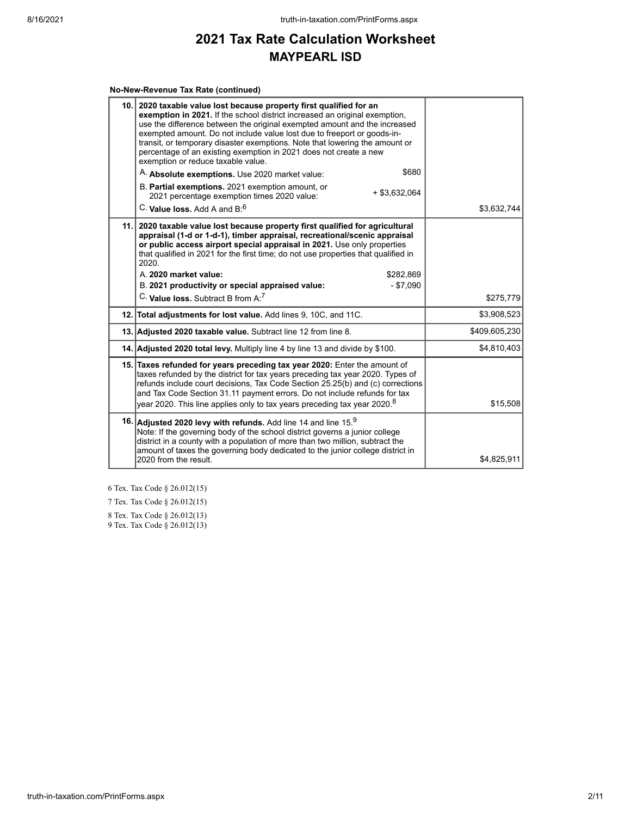#### **No-New-Revenue Tax Rate (continued)**

| exemption in 2021. If the school district increased an original exemption.<br>use the difference between the original exempted amount and the increased<br>exempted amount. Do not include value lost due to freeport or goods-in-<br>transit, or temporary disaster exemptions. Note that lowering the amount or<br>percentage of an existing exemption in 2021 does not create a new<br>exemption or reduce taxable value. |                                                                                                                                                                                                                                                                                                                                                                                                                                                                                                                                                                                                                       |
|------------------------------------------------------------------------------------------------------------------------------------------------------------------------------------------------------------------------------------------------------------------------------------------------------------------------------------------------------------------------------------------------------------------------------|-----------------------------------------------------------------------------------------------------------------------------------------------------------------------------------------------------------------------------------------------------------------------------------------------------------------------------------------------------------------------------------------------------------------------------------------------------------------------------------------------------------------------------------------------------------------------------------------------------------------------|
|                                                                                                                                                                                                                                                                                                                                                                                                                              |                                                                                                                                                                                                                                                                                                                                                                                                                                                                                                                                                                                                                       |
| $+$ \$3,632,064<br>2021 percentage exemption times 2020 value:                                                                                                                                                                                                                                                                                                                                                               |                                                                                                                                                                                                                                                                                                                                                                                                                                                                                                                                                                                                                       |
| C. Value loss, Add A and B. <sup>6</sup>                                                                                                                                                                                                                                                                                                                                                                                     | \$3,632,744                                                                                                                                                                                                                                                                                                                                                                                                                                                                                                                                                                                                           |
| 2020 taxable value lost because property first qualified for agricultural<br>appraisal (1-d or 1-d-1), timber appraisal, recreational/scenic appraisal<br>or public access airport special appraisal in 2021. Use only properties<br>that qualified in 2021 for the first time; do not use properties that qualified in<br>2020.<br>A. 2020 market value:<br>\$282,869<br>$- $7,090$                                         |                                                                                                                                                                                                                                                                                                                                                                                                                                                                                                                                                                                                                       |
| C. Value loss. Subtract B from A. <sup>7</sup>                                                                                                                                                                                                                                                                                                                                                                               | \$275,779                                                                                                                                                                                                                                                                                                                                                                                                                                                                                                                                                                                                             |
|                                                                                                                                                                                                                                                                                                                                                                                                                              | \$3,908,523                                                                                                                                                                                                                                                                                                                                                                                                                                                                                                                                                                                                           |
|                                                                                                                                                                                                                                                                                                                                                                                                                              | \$409,605,230                                                                                                                                                                                                                                                                                                                                                                                                                                                                                                                                                                                                         |
|                                                                                                                                                                                                                                                                                                                                                                                                                              | \$4,810,403                                                                                                                                                                                                                                                                                                                                                                                                                                                                                                                                                                                                           |
| taxes refunded by the district for tax years preceding tax year 2020. Types of<br>refunds include court decisions, Tax Code Section 25.25(b) and (c) corrections<br>and Tax Code Section 31.11 payment errors. Do not include refunds for tax<br>year 2020. This line applies only to tax years preceding tax year 2020. <sup>8</sup>                                                                                        | \$15,508                                                                                                                                                                                                                                                                                                                                                                                                                                                                                                                                                                                                              |
| Note: If the governing body of the school district governs a junior college<br>district in a county with a population of more than two million, subtract the<br>amount of taxes the governing body dedicated to the junior college district in<br>2020 from the result.                                                                                                                                                      | \$4,825,911                                                                                                                                                                                                                                                                                                                                                                                                                                                                                                                                                                                                           |
|                                                                                                                                                                                                                                                                                                                                                                                                                              | 10. 2020 taxable value lost because property first qualified for an<br>\$680<br>A. Absolute exemptions. Use 2020 market value:<br>B. Partial exemptions. 2021 exemption amount, or<br>11.1<br>B. 2021 productivity or special appraised value:<br>12. Total adjustments for lost value. Add lines 9, 10C, and 11C.<br>13. Adjusted 2020 taxable value. Subtract line 12 from line 8.<br>14. Adjusted 2020 total levy. Multiply line 4 by line 13 and divide by \$100.<br>15. Taxes refunded for years preceding tax year 2020: Enter the amount of<br>16. Adjusted 2020 levy with refunds. Add line 14 and line $159$ |

6 Tex. Tax Code § 26.012(15)

7 Tex. Tax Code § 26.012(15)

8 Tex. Tax Code § 26.012(13)

9 Tex. Tax Code § 26.012(13)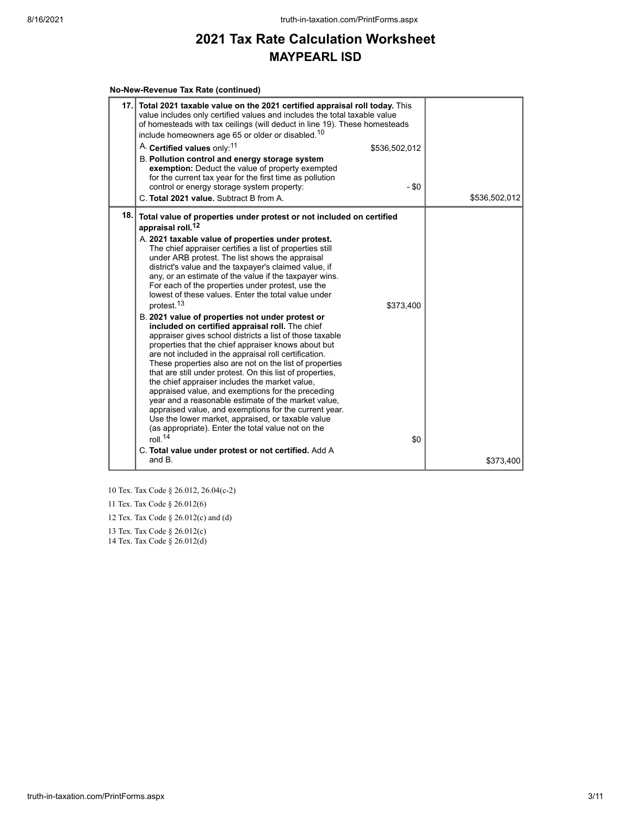#### **No-New-Revenue Tax Rate (continued)**

| 17.1 | Total 2021 taxable value on the 2021 certified appraisal roll today. This<br>value includes only certified values and includes the total taxable value<br>of homesteads with tax ceilings (will deduct in line 19). These homesteads<br>include homeowners age 65 or older or disabled. <sup>10</sup><br>A. Certified values only: <sup>11</sup><br>\$536,502,012<br>B. Pollution control and energy storage system<br>exemption: Deduct the value of property exempted<br>for the current tax year for the first time as pollution                                                                                                                                                                                                                                                                                                                                                                                                                                                                                                                                                                                                                                                                                                                                                                                                                                       |               |
|------|---------------------------------------------------------------------------------------------------------------------------------------------------------------------------------------------------------------------------------------------------------------------------------------------------------------------------------------------------------------------------------------------------------------------------------------------------------------------------------------------------------------------------------------------------------------------------------------------------------------------------------------------------------------------------------------------------------------------------------------------------------------------------------------------------------------------------------------------------------------------------------------------------------------------------------------------------------------------------------------------------------------------------------------------------------------------------------------------------------------------------------------------------------------------------------------------------------------------------------------------------------------------------------------------------------------------------------------------------------------------------|---------------|
|      | - \$0<br>control or energy storage system property:<br>C. Total 2021 value. Subtract B from A.                                                                                                                                                                                                                                                                                                                                                                                                                                                                                                                                                                                                                                                                                                                                                                                                                                                                                                                                                                                                                                                                                                                                                                                                                                                                            | \$536,502,012 |
| 18.1 | Total value of properties under protest or not included on certified<br>appraisal roll. <sup>12</sup><br>A. 2021 taxable value of properties under protest.<br>The chief appraiser certifies a list of properties still<br>under ARB protest. The list shows the appraisal<br>district's value and the taxpayer's claimed value, if<br>any, or an estimate of the value if the taxpayer wins.<br>For each of the properties under protest, use the<br>lowest of these values. Enter the total value under<br>protest. <sup>13</sup><br>\$373,400<br>B. 2021 value of properties not under protest or<br>included on certified appraisal roll. The chief<br>appraiser gives school districts a list of those taxable<br>properties that the chief appraiser knows about but<br>are not included in the appraisal roll certification.<br>These properties also are not on the list of properties<br>that are still under protest. On this list of properties,<br>the chief appraiser includes the market value,<br>appraised value, and exemptions for the preceding<br>year and a reasonable estimate of the market value,<br>appraised value, and exemptions for the current year.<br>Use the lower market, appraised, or taxable value<br>(as appropriate). Enter the total value not on the<br>roll $14$<br>\$0<br>C. Total value under protest or not certified. Add A |               |
|      | and B.                                                                                                                                                                                                                                                                                                                                                                                                                                                                                                                                                                                                                                                                                                                                                                                                                                                                                                                                                                                                                                                                                                                                                                                                                                                                                                                                                                    | \$373,400     |

10 Tex. Tax Code § 26.012, 26.04(c-2)

11 Tex. Tax Code § 26.012(6)

12 Tex. Tax Code § 26.012(c) and (d)

13 Tex. Tax Code § 26.012(c)

14 Tex. Tax Code § 26.012(d)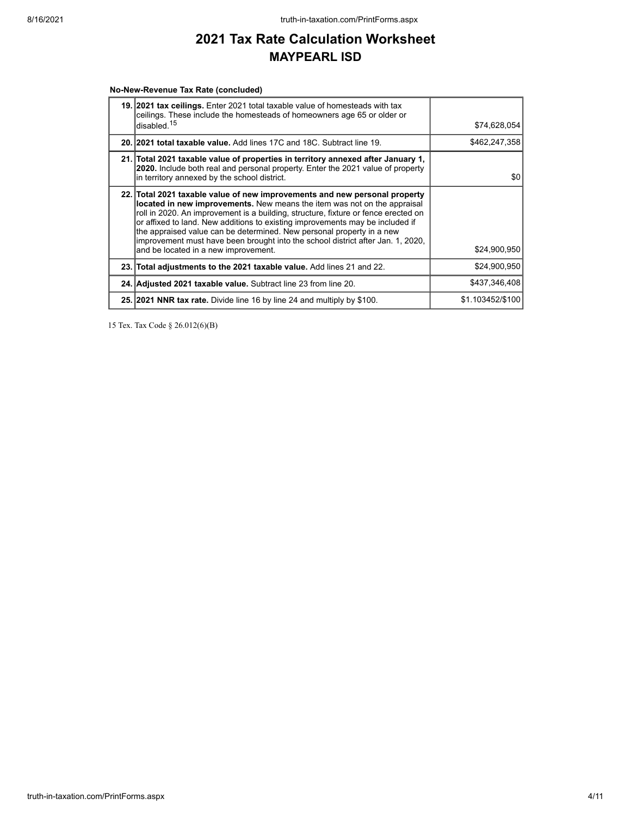#### **No-New-Revenue Tax Rate (concluded)**

| <b>19. 2021 tax ceilings.</b> Enter 2021 total taxable value of homesteads with tax<br>ceilings. These include the homesteads of homeowners age 65 or older or<br>disabled. <sup>15</sup>                                                                                                                                                                                                                                                                                                                                         | \$74,628,054     |
|-----------------------------------------------------------------------------------------------------------------------------------------------------------------------------------------------------------------------------------------------------------------------------------------------------------------------------------------------------------------------------------------------------------------------------------------------------------------------------------------------------------------------------------|------------------|
| 20. 2021 total taxable value. Add lines 17C and 18C. Subtract line 19.                                                                                                                                                                                                                                                                                                                                                                                                                                                            | \$462,247,358    |
| 21. Total 2021 taxable value of properties in territory annexed after January 1,<br>2020. Include both real and personal property. Enter the 2021 value of property<br>in territory annexed by the school district.                                                                                                                                                                                                                                                                                                               | \$0              |
| 22. Total 2021 taxable value of new improvements and new personal property<br>located in new improvements. New means the item was not on the appraisal<br>roll in 2020. An improvement is a building, structure, fixture or fence erected on<br>or affixed to land. New additions to existing improvements may be included if<br>the appraised value can be determined. New personal property in a new<br>improvement must have been brought into the school district after Jan. 1, 2020,<br>and be located in a new improvement. | \$24,900,950     |
| 23. Total adjustments to the 2021 taxable value. Add lines 21 and 22.                                                                                                                                                                                                                                                                                                                                                                                                                                                             | \$24,900,950     |
| 24. Adjusted 2021 taxable value. Subtract line 23 from line 20.                                                                                                                                                                                                                                                                                                                                                                                                                                                                   | \$437.346.408    |
| 25. 2021 NNR tax rate. Divide line 16 by line 24 and multiply by \$100.                                                                                                                                                                                                                                                                                                                                                                                                                                                           | \$1.103452/\$100 |

15 Tex. Tax Code § 26.012(6)(B)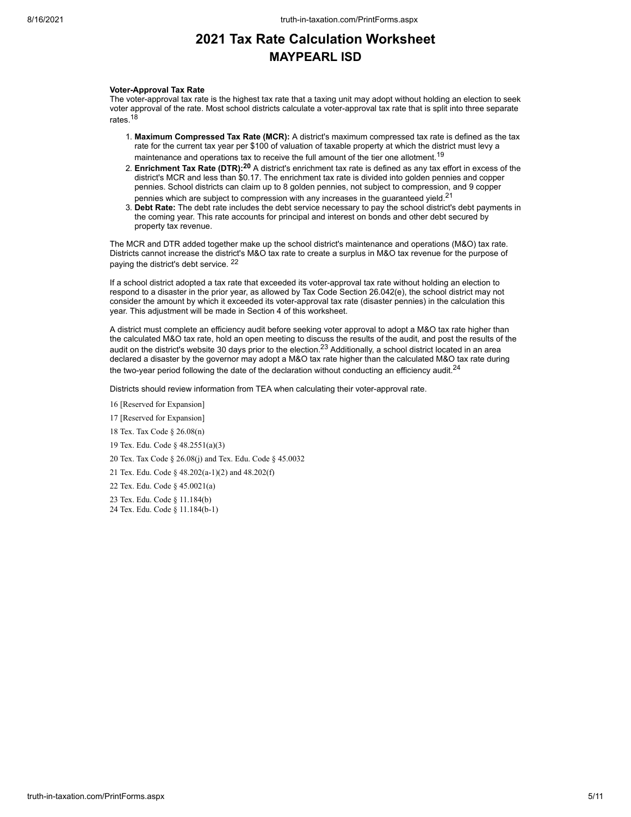#### **Voter-Approval Tax Rate**

The voter-approval tax rate is the highest tax rate that a taxing unit may adopt without holding an election to seek voter approval of the rate. Most school districts calculate a voter-approval tax rate that is split into three separate rates.<sup>18</sup>

- 1. **Maximum Compressed Tax Rate (MCR):** A district's maximum compressed tax rate is defined as the tax rate for the current tax year per \$100 of valuation of taxable property at which the district must levy a maintenance and operations tax to receive the full amount of the tier one allotment.<sup>19</sup>
- 2. **Enrichment Tax Rate (DTR):<sup>20</sup>** A district's enrichment tax rate is defined as any tax effort in excess of the district's MCR and less than \$0.17. The enrichment tax rate is divided into golden pennies and copper pennies. School districts can claim up to 8 golden pennies, not subject to compression, and 9 copper pennies which are subject to compression with any increases in the guaranteed yield. $21$
- 3. **Debt Rate:** The debt rate includes the debt service necessary to pay the school district's debt payments in the coming year. This rate accounts for principal and interest on bonds and other debt secured by property tax revenue.

The MCR and DTR added together make up the school district's maintenance and operations (M&O) tax rate. Districts cannot increase the district's M&O tax rate to create a surplus in M&O tax revenue for the purpose of paying the district's debt service. <sup>22</sup>

If a school district adopted a tax rate that exceeded its voter-approval tax rate without holding an election to respond to a disaster in the prior year, as allowed by Tax Code Section 26.042(e), the school district may not consider the amount by which it exceeded its voter-approval tax rate (disaster pennies) in the calculation this year. This adjustment will be made in Section 4 of this worksheet.

A district must complete an efficiency audit before seeking voter approval to adopt a M&O tax rate higher than the calculated M&O tax rate, hold an open meeting to discuss the results of the audit, and post the results of the audit on the district's website 30 days prior to the election.<sup>23</sup> Additionally, a school district located in an area declared a disaster by the governor may adopt a M&O tax rate higher than the calculated M&O tax rate during the two-year period following the date of the declaration without conducting an efficiency audit.<sup>24</sup>

Districts should review information from TEA when calculating their voter-approval rate.

16 [Reserved for Expansion]

17 [Reserved for Expansion]

18 Tex. Tax Code § 26.08(n)

19 Tex. Edu. Code § 48.2551(a)(3)

20 Tex. Tax Code § 26.08(j) and Tex. Edu. Code § 45.0032

21 Tex. Edu. Code § 48.202(a-1)(2) and 48.202(f)

22 Tex. Edu. Code § 45.0021(a)

23 Tex. Edu. Code § 11.184(b)

24 Tex. Edu. Code § 11.184(b-1)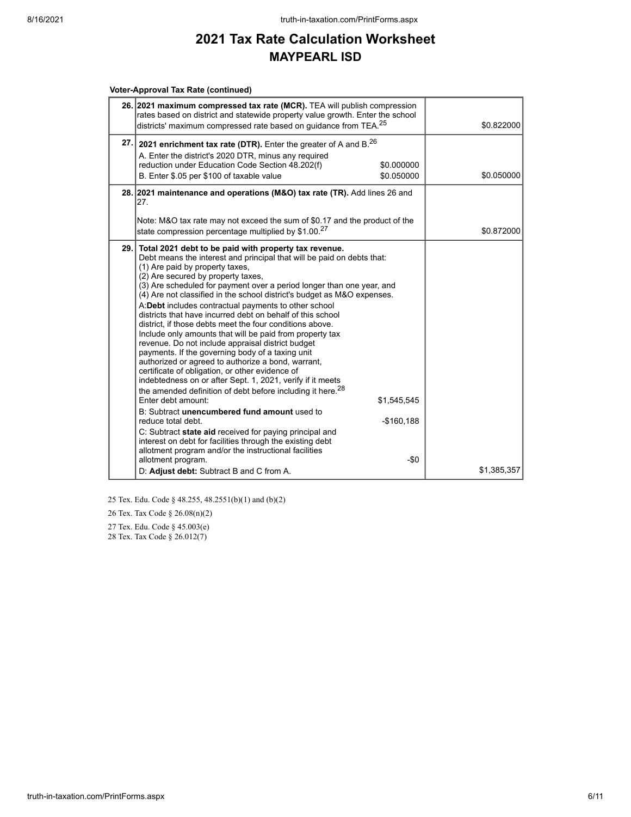#### **Voter-Approval Tax Rate (continued)**

|     | 26. 2021 maximum compressed tax rate (MCR). TEA will publish compression<br>rates based on district and statewide property value growth. Enter the school<br>districts' maximum compressed rate based on guidance from TEA. <sup>25</sup>                                                                                                                                                                                                                                                                                                                                                                                                                                                                                                                                                                                                                                                                                                                                                                                                                                                                                                                                                                                                                                                                                                                                       |                                    | \$0.822000                |
|-----|---------------------------------------------------------------------------------------------------------------------------------------------------------------------------------------------------------------------------------------------------------------------------------------------------------------------------------------------------------------------------------------------------------------------------------------------------------------------------------------------------------------------------------------------------------------------------------------------------------------------------------------------------------------------------------------------------------------------------------------------------------------------------------------------------------------------------------------------------------------------------------------------------------------------------------------------------------------------------------------------------------------------------------------------------------------------------------------------------------------------------------------------------------------------------------------------------------------------------------------------------------------------------------------------------------------------------------------------------------------------------------|------------------------------------|---------------------------|
|     | 27. 2021 enrichment tax rate (DTR). Enter the greater of A and B. $^{26}$<br>A. Enter the district's 2020 DTR, minus any required<br>reduction under Education Code Section 48.202(f)<br>B. Enter \$.05 per \$100 of taxable value                                                                                                                                                                                                                                                                                                                                                                                                                                                                                                                                                                                                                                                                                                                                                                                                                                                                                                                                                                                                                                                                                                                                              | \$0.000000<br>\$0.050000           | \$0.050000                |
| 27. | 28. 2021 maintenance and operations (M&O) tax rate (TR). Add lines 26 and<br>Note: M&O tax rate may not exceed the sum of \$0.17 and the product of the                                                                                                                                                                                                                                                                                                                                                                                                                                                                                                                                                                                                                                                                                                                                                                                                                                                                                                                                                                                                                                                                                                                                                                                                                         |                                    |                           |
|     | state compression percentage multiplied by \$1.00.27<br>29. Total 2021 debt to be paid with property tax revenue.<br>Debt means the interest and principal that will be paid on debts that:<br>(1) Are paid by property taxes,<br>(2) Are secured by property taxes,<br>(3) Are scheduled for payment over a period longer than one year, and<br>(4) Are not classified in the school district's budget as M&O expenses.<br>A:Debt includes contractual payments to other school<br>districts that have incurred debt on behalf of this school<br>district, if those debts meet the four conditions above.<br>Include only amounts that will be paid from property tax<br>revenue. Do not include appraisal district budget<br>payments. If the governing body of a taxing unit<br>authorized or agreed to authorize a bond, warrant,<br>certificate of obligation, or other evidence of<br>indebtedness on or after Sept. 1, 2021, verify if it meets<br>the amended definition of debt before including it here. <sup>28</sup><br>Enter debt amount:<br>B: Subtract unencumbered fund amount used to<br>reduce total debt.<br>C: Subtract state aid received for paying principal and<br>interest on debt for facilities through the existing debt<br>allotment program and/or the instructional facilities<br>allotment program.<br>D: Adjust debt: Subtract B and C from A. | \$1,545,545<br>$-$160,188$<br>-\$0 | \$0.872000<br>\$1,385,357 |

25 Tex. Edu. Code § 48.255, 48.2551(b)(1) and (b)(2)

26 Tex. Tax Code § 26.08(n)(2)

27 Tex. Edu. Code § 45.003(e) 28 Tex. Tax Code § 26.012(7)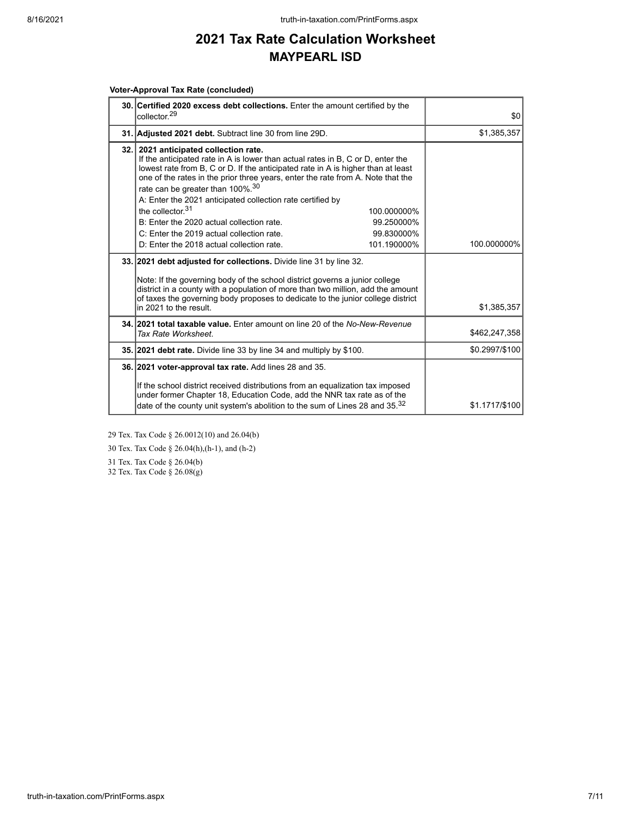#### **Voter-Approval Tax Rate (concluded)**

| 30. Certified 2020 excess debt collections. Enter the amount certified by the<br>collector <sup>29</sup>                                                                                                                                                                                                                                                                                                                                                                                                                                                                                                                             | \$0            |
|--------------------------------------------------------------------------------------------------------------------------------------------------------------------------------------------------------------------------------------------------------------------------------------------------------------------------------------------------------------------------------------------------------------------------------------------------------------------------------------------------------------------------------------------------------------------------------------------------------------------------------------|----------------|
| 31. Adjusted 2021 debt. Subtract line 30 from line 29D.                                                                                                                                                                                                                                                                                                                                                                                                                                                                                                                                                                              | \$1,385,357    |
| 32. 2021 anticipated collection rate.<br>If the anticipated rate in A is lower than actual rates in B, C or D, enter the<br>lowest rate from B, C or D. If the anticipated rate in A is higher than at least<br>one of the rates in the prior three years, enter the rate from A. Note that the<br>rate can be greater than 100%. <sup>30</sup><br>A: Enter the 2021 anticipated collection rate certified by<br>the collector $31$<br>100.000000%<br>B: Enter the 2020 actual collection rate.<br>99.250000%<br>C: Enter the 2019 actual collection rate.<br>99.830000%<br>D: Enter the 2018 actual collection rate.<br>101.190000% | 100.000000%    |
|                                                                                                                                                                                                                                                                                                                                                                                                                                                                                                                                                                                                                                      |                |
| 33. 2021 debt adjusted for collections. Divide line 31 by line 32.<br>Note: If the governing body of the school district governs a junior college<br>district in a county with a population of more than two million, add the amount<br>of taxes the governing body proposes to dedicate to the junior college district<br>in 2021 to the result.                                                                                                                                                                                                                                                                                    | \$1,385,357    |
| 34, 2021 total taxable value. Enter amount on line 20 of the No-New-Revenue<br>Tax Rate Worksheet.                                                                                                                                                                                                                                                                                                                                                                                                                                                                                                                                   | \$462,247,358  |
| 35. 2021 debt rate. Divide line 33 by line 34 and multiply by \$100.                                                                                                                                                                                                                                                                                                                                                                                                                                                                                                                                                                 | \$0.2997/\$100 |
| 36. 2021 voter-approval tax rate. Add lines 28 and 35.                                                                                                                                                                                                                                                                                                                                                                                                                                                                                                                                                                               |                |
| If the school district received distributions from an equalization tax imposed<br>under former Chapter 18, Education Code, add the NNR tax rate as of the<br>date of the county unit system's abolition to the sum of Lines 28 and 35. <sup>32</sup>                                                                                                                                                                                                                                                                                                                                                                                 | \$1.1717/\$100 |

29 Tex. Tax Code § 26.0012(10) and 26.04(b)

30 Tex. Tax Code § 26.04(h),(h-1), and (h-2)

31 Tex. Tax Code § 26.04(b)

32 Tex. Tax Code § 26.08(g)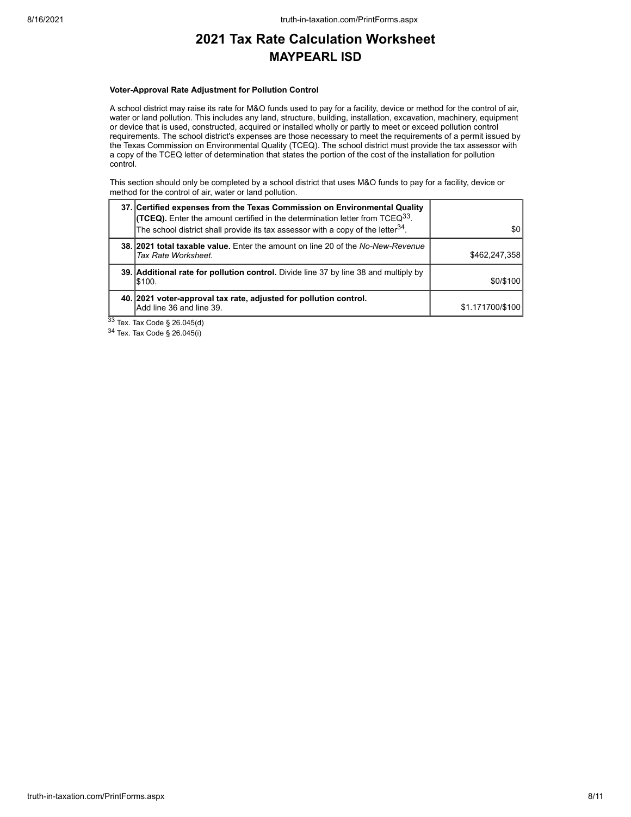#### **Voter-Approval Rate Adjustment for Pollution Control**

A school district may raise its rate for M&O funds used to pay for a facility, device or method for the control of air, water or land pollution. This includes any land, structure, building, installation, excavation, machinery, equipment or device that is used, constructed, acquired or installed wholly or partly to meet or exceed pollution control requirements. The school district's expenses are those necessary to meet the requirements of a permit issued by the Texas Commission on Environmental Quality (TCEQ). The school district must provide the tax assessor with a copy of the TCEQ letter of determination that states the portion of the cost of the installation for pollution control.

This section should only be completed by a school district that uses M&O funds to pay for a facility, device or method for the control of air, water or land pollution.

| 37. Certified expenses from the Texas Commission on Environmental Quality<br><b>(TCEQ).</b> Enter the amount certified in the determination letter from TCEQ <sup>33</sup> .<br>The school district shall provide its tax assessor with a copy of the letter <sup>34</sup> . | <b>\$01</b>      |
|------------------------------------------------------------------------------------------------------------------------------------------------------------------------------------------------------------------------------------------------------------------------------|------------------|
| 38. 2021 total taxable value. Enter the amount on line 20 of the No-New-Revenue<br>Tax Rate Worksheet.                                                                                                                                                                       | \$462,247,358    |
| 39. Additional rate for pollution control. Divide line 37 by line 38 and multiply by<br>S100.                                                                                                                                                                                | \$0/\$100        |
| 40. 2021 voter-approval tax rate, adjusted for pollution control.<br>Add line 36 and line 39.                                                                                                                                                                                | \$1.171700/\$100 |

 $33$  Tex. Tax Code § 26.045(d)

<sup>34</sup> Tex. Tax Code § 26.045(i)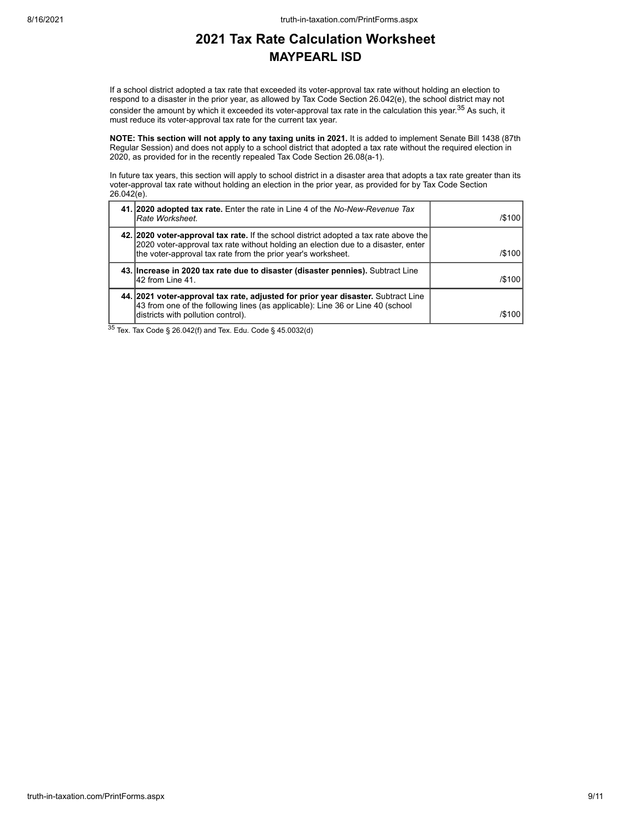If a school district adopted a tax rate that exceeded its voter-approval tax rate without holding an election to respond to a disaster in the prior year, as allowed by Tax Code Section 26.042(e), the school district may not consider the amount by which it exceeded its voter-approval tax rate in the calculation this year.<sup>35</sup> As such, it must reduce its voter-approval tax rate for the current tax year.

**NOTE: This section will not apply to any taxing units in 2021.** It is added to implement Senate Bill 1438 (87th Regular Session) and does not apply to a school district that adopted a tax rate without the required election in 2020, as provided for in the recently repealed Tax Code Section 26.08(a-1).

In future tax years, this section will apply to school district in a disaster area that adopts a tax rate greater than its voter-approval tax rate without holding an election in the prior year, as provided for by Tax Code Section  $26.042(e)$ .

| 41. 2020 adopted tax rate. Enter the rate in Line 4 of the No-New-Revenue Tax<br>Rate Worksheet.                                                                                                                                           | /\$100 |
|--------------------------------------------------------------------------------------------------------------------------------------------------------------------------------------------------------------------------------------------|--------|
| 42. 2020 voter-approval tax rate. If the school district adopted a tax rate above the<br>2020 voter-approval tax rate without holding an election due to a disaster, enter<br>the voter-approval tax rate from the prior year's worksheet. | /\$100 |
| 43. Increase in 2020 tax rate due to disaster (disaster pennies). Subtract Line<br>42 from Line 41.                                                                                                                                        | /\$100 |
| 44. 2021 voter-approval tax rate, adjusted for prior year disaster. Subtract Line<br>43 from one of the following lines (as applicable): Line 36 or Line 40 (school<br>districts with pollution control).                                  | /\$100 |

<sup>35</sup> Tex. Tax Code § 26.042(f) and Tex. Edu. Code § 45.0032(d)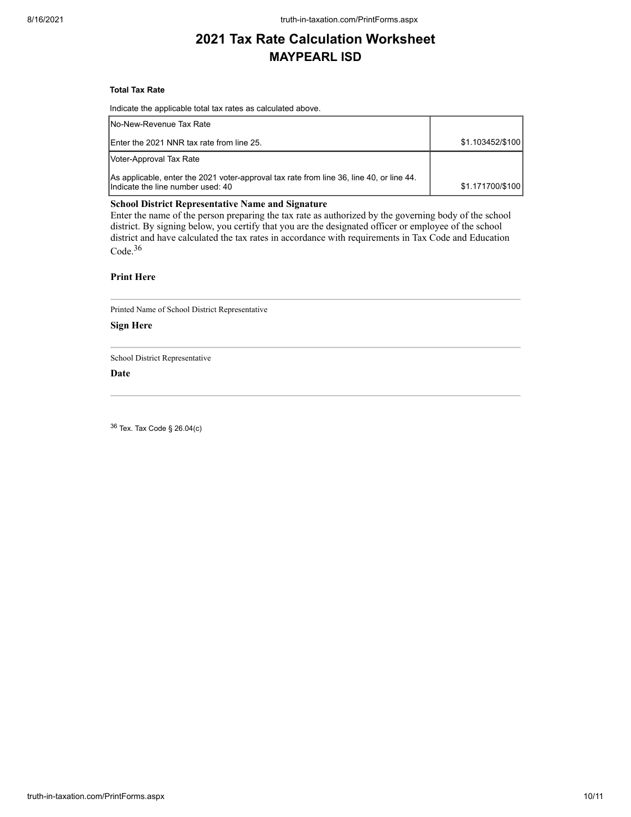#### **Total Tax Rate**

Indicate the applicable total tax rates as calculated above.

| INo-New-Revenue Tax Rate                                                                                                      |                  |
|-------------------------------------------------------------------------------------------------------------------------------|------------------|
| Enter the 2021 NNR tax rate from line 25.                                                                                     | \$1.103452/\$100 |
| Voter-Approval Tax Rate                                                                                                       |                  |
| As applicable, enter the 2021 voter-approval tax rate from line 36, line 40, or line 44.<br>Indicate the line number used: 40 | \$1.171700/\$100 |

#### **School District Representative Name and Signature**

Enter the name of the person preparing the tax rate as authorized by the governing body of the school district. By signing below, you certify that you are the designated officer or employee of the school district and have calculated the tax rates in accordance with requirements in Tax Code and Education Code.<sup>36</sup>

### **Print Here**

Printed Name of School District Representative

#### **Sign Here**

School District Representative

### **Date**

<sup>36</sup> Tex. Tax Code § 26.04(c)